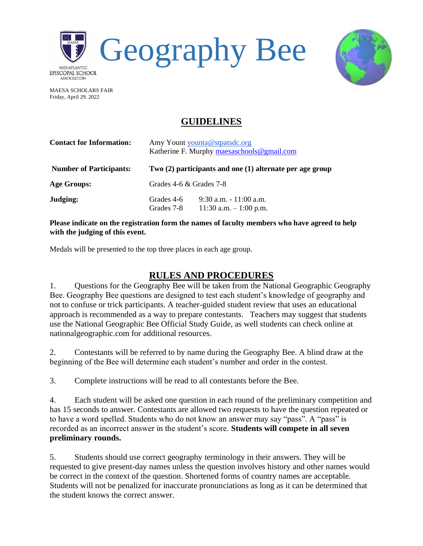



MAESA SCHOLARS FAIR Friday, April 29. 2022

## **GUIDELINES**

| <b>Contact for Information:</b> | Amy Yount younta@stpatsdc.org<br>Katherine F. Murphy maesaschools@gmail.com<br>Two (2) participants and one (1) alternate per age group |                                                      |
|---------------------------------|-----------------------------------------------------------------------------------------------------------------------------------------|------------------------------------------------------|
| <b>Number of Participants:</b>  |                                                                                                                                         |                                                      |
| <b>Age Groups:</b>              | Grades $4-6 \&$ Grades $7-8$                                                                                                            |                                                      |
| Judging:                        | Grades 4-6<br>Grades 7-8                                                                                                                | $9:30$ a.m. $-11:00$ a.m.<br>11:30 a.m. $-1:00$ p.m. |

**Please indicate on the registration form the names of faculty members who have agreed to help with the judging of this event.**

Medals will be presented to the top three places in each age group.

## **RULES AND PROCEDURES**

1. Questions for the Geography Bee will be taken from the National Geographic Geography Bee. Geography Bee questions are designed to test each student's knowledge of geography and not to confuse or trick participants. A teacher-guided student review that uses an educational approach is recommended as a way to prepare contestants. Teachers may suggest that students use the National Geographic Bee Official Study Guide, as well students can check online at nationalgeographic.com for additional resources.

2. Contestants will be referred to by name during the Geography Bee. A blind draw at the beginning of the Bee will determine each student's number and order in the contest.

3. Complete instructions will be read to all contestants before the Bee.

4. Each student will be asked one question in each round of the preliminary competition and has 15 seconds to answer. Contestants are allowed two requests to have the question repeated or to have a word spelled. Students who do not know an answer may say "pass". A "pass" is recorded as an incorrect answer in the student's score. **Students will compete in all seven preliminary rounds.**

5. Students should use correct geography terminology in their answers. They will be requested to give present-day names unless the question involves history and other names would be correct in the context of the question. Shortened forms of country names are acceptable. Students will not be penalized for inaccurate pronunciations as long as it can be determined that the student knows the correct answer.